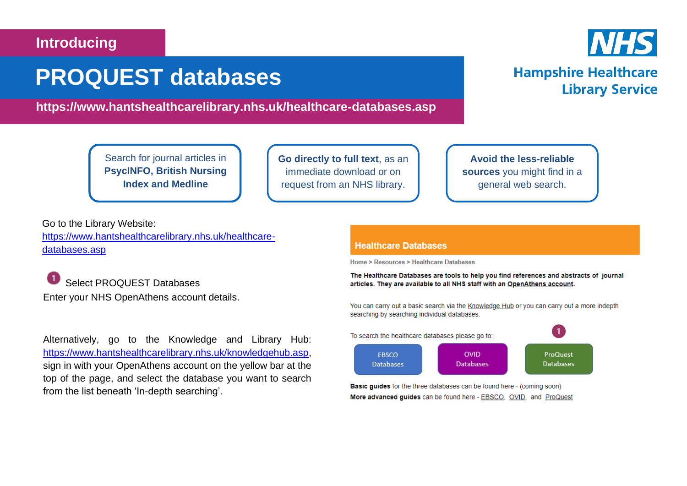### **Introducing**

# **PROQUEST databases**

**https://www.hantshealthcarelibrary.nhs.uk/healthcare-databases.asp**

Search for journal articles in **PsycINFO, British Nursing Index and Medline**

**Go directly to full text**, as an immediate download or on request from an NHS library.

**Avoid the less-reliable sources** you might find in a general web search.

Go to the Library Website: [https://www.hantshealthcarelibrary.nhs.uk/healthcare](https://www.hantshealthcarelibrary.nhs.uk/healthcare-databases.asp)[databases.asp](https://www.hantshealthcarelibrary.nhs.uk/healthcare-databases.asp)

Select PROQUEST Databases Enter your NHS OpenAthens account details.

Alternatively, go to the Knowledge and Library Hub: [https://www.hantshealthcarelibrary.nhs.uk/knowledgehub.asp,](https://www.hantshealthcarelibrary.nhs.uk/knowledgehub.asp) sign in with your OpenAthens account on the yellow bar at the top of the page, and select the database you want to search from the list beneath 'In-depth searching'.

#### **Healthcare Databases**

Home > Resources > Healthcare Databases

The Healthcare Databases are tools to help you find references and abstracts of journal articles. They are available to all NHS staff with an OpenAthens account.

You can carry out a basic search via the Knowledge Hub or you can carry out a more indepth searching by searching individual databases.



**Basic guides** for the three databases can be found here - (coming soon) More advanced guides can be found here - EBSCO, OVID, and ProQuest



## **Hampshire Healthcare Library Service**